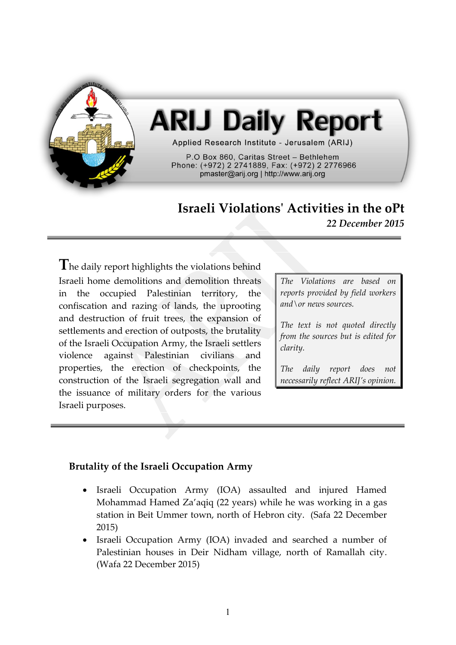

# **ARIJ Daily Report**

Applied Research Institute - Jerusalem (ARIJ)

P.O Box 860, Caritas Street - Bethlehem Phone: (+972) 2 2741889, Fax: (+972) 2 2776966 pmaster@arij.org | http://www.arij.org

## **Israeli Violations' Activities in the oPt**

*22 December 2015*

**T**he daily report highlights the violations behind Israeli home demolitions and demolition threats in the occupied Palestinian territory, the confiscation and razing of lands, the uprooting and destruction of fruit trees, the expansion of settlements and erection of outposts, the brutality of the Israeli Occupation Army, the Israeli settlers violence against Palestinian civilians and properties, the erection of checkpoints, the construction of the Israeli segregation wall and the issuance of military orders for the various Israeli purposes.

*The Violations are based on reports provided by field workers and\or news sources.*

*The text is not quoted directly from the sources but is edited for clarity.*

*The daily report does not necessarily reflect ARIJ's opinion.*

### **Brutality of the Israeli Occupation Army**

- Israeli Occupation Army (IOA) assaulted and injured Hamed Mohammad Hamed Za'aqiq (22 years) while he was working in a gas station in Beit Ummer town, north of Hebron city. (Safa 22 December 2015)
- Israeli Occupation Army (IOA) invaded and searched a number of Palestinian houses in Deir Nidham village, north of Ramallah city. (Wafa 22 December 2015)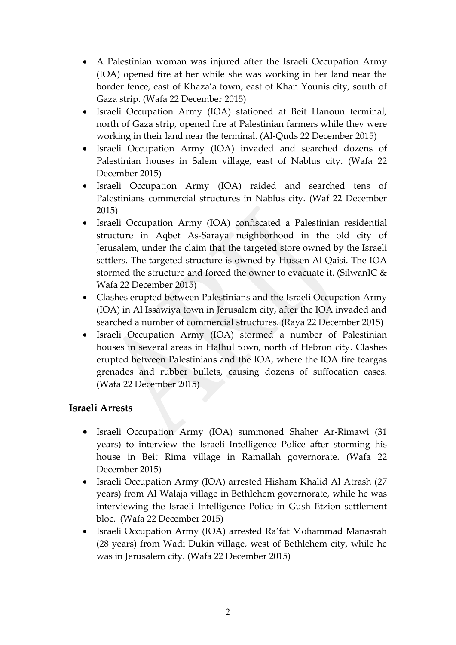- A Palestinian woman was injured after the Israeli Occupation Army (IOA) opened fire at her while she was working in her land near the border fence, east of Khaza'a town, east of Khan Younis city, south of Gaza strip. (Wafa 22 December 2015)
- Israeli Occupation Army (IOA) stationed at Beit Hanoun terminal, north of Gaza strip, opened fire at Palestinian farmers while they were working in their land near the terminal. (Al-Quds 22 December 2015)
- Israeli Occupation Army (IOA) invaded and searched dozens of Palestinian houses in Salem village, east of Nablus city. (Wafa 22 December 2015)
- Israeli Occupation Army (IOA) raided and searched tens of Palestinians commercial structures in Nablus city. (Waf 22 December 2015)
- Israeli Occupation Army (IOA) confiscated a Palestinian residential structure in Aqbet As-Saraya neighborhood in the old city of Jerusalem, under the claim that the targeted store owned by the Israeli settlers. The targeted structure is owned by Hussen Al Qaisi. The IOA stormed the structure and forced the owner to evacuate it. (SilwanIC & Wafa 22 December 2015)
- Clashes erupted between Palestinians and the Israeli Occupation Army (IOA) in Al Issawiya town in Jerusalem city, after the IOA invaded and searched a number of commercial structures. (Raya 22 December 2015)
- Israeli Occupation Army (IOA) stormed a number of Palestinian houses in several areas in Halhul town, north of Hebron city. Clashes erupted between Palestinians and the IOA, where the IOA fire teargas grenades and rubber bullets, causing dozens of suffocation cases. (Wafa 22 December 2015)

### **Israeli Arrests**

- Israeli Occupation Army (IOA) summoned Shaher Ar-Rimawi (31 years) to interview the Israeli Intelligence Police after storming his house in Beit Rima village in Ramallah governorate. (Wafa 22 December 2015)
- Israeli Occupation Army (IOA) arrested Hisham Khalid Al Atrash (27 years) from Al Walaja village in Bethlehem governorate, while he was interviewing the Israeli Intelligence Police in Gush Etzion settlement bloc. (Wafa 22 December 2015)
- Israeli Occupation Army (IOA) arrested Ra'fat Mohammad Manasrah (28 years) from Wadi Dukin village, west of Bethlehem city, while he was in Jerusalem city. (Wafa 22 December 2015)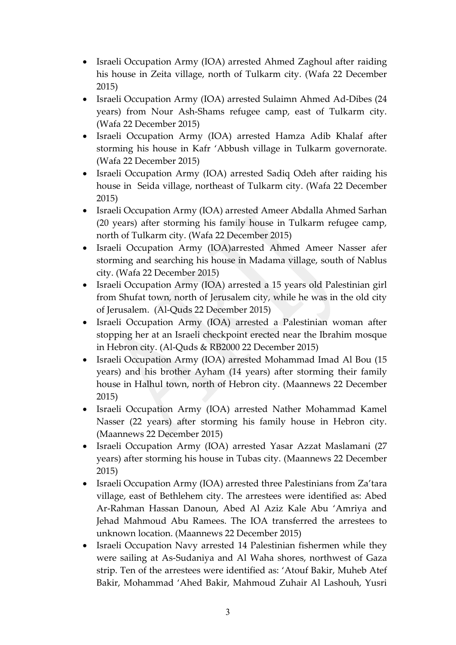- Israeli Occupation Army (IOA) arrested Ahmed Zaghoul after raiding his house in Zeita village, north of Tulkarm city. (Wafa 22 December 2015)
- Israeli Occupation Army (IOA) arrested Sulaimn Ahmed Ad-Dibes (24 years) from Nour Ash-Shams refugee camp, east of Tulkarm city. (Wafa 22 December 2015)
- Israeli Occupation Army (IOA) arrested Hamza Adib Khalaf after storming his house in Kafr 'Abbush village in Tulkarm governorate. (Wafa 22 December 2015)
- Israeli Occupation Army (IOA) arrested Sadiq Odeh after raiding his house in Seida village, northeast of Tulkarm city. (Wafa 22 December 2015)
- Israeli Occupation Army (IOA) arrested Ameer Abdalla Ahmed Sarhan (20 years) after storming his family house in Tulkarm refugee camp, north of Tulkarm city. (Wafa 22 December 2015)
- Israeli Occupation Army (IOA)arrested Ahmed Ameer Nasser afer storming and searching his house in Madama village, south of Nablus city. (Wafa 22 December 2015)
- Israeli Occupation Army (IOA) arrested a 15 years old Palestinian girl from Shufat town, north of Jerusalem city, while he was in the old city of Jerusalem. (Al-Quds 22 December 2015)
- Israeli Occupation Army (IOA) arrested a Palestinian woman after stopping her at an Israeli checkpoint erected near the Ibrahim mosque in Hebron city. (Al-Quds & RB2000 22 December 2015)
- Israeli Occupation Army (IOA) arrested Mohammad Imad Al Bou (15 years) and his brother Ayham (14 years) after storming their family house in Halhul town, north of Hebron city. (Maannews 22 December 2015)
- Israeli Occupation Army (IOA) arrested Nather Mohammad Kamel Nasser (22 years) after storming his family house in Hebron city. (Maannews 22 December 2015)
- Israeli Occupation Army (IOA) arrested Yasar Azzat Maslamani (27 years) after storming his house in Tubas city. (Maannews 22 December 2015)
- Israeli Occupation Army (IOA) arrested three Palestinians from Za'tara village, east of Bethlehem city. The arrestees were identified as: Abed Ar-Rahman Hassan Danoun, Abed Al Aziz Kale Abu 'Amriya and Jehad Mahmoud Abu Ramees. The IOA transferred the arrestees to unknown location. (Maannews 22 December 2015)
- Israeli Occupation Navy arrested 14 Palestinian fishermen while they were sailing at As-Sudaniya and Al Waha shores, northwest of Gaza strip. Ten of the arrestees were identified as: 'Atouf Bakir, Muheb Atef Bakir, Mohammad 'Ahed Bakir, Mahmoud Zuhair Al Lashouh, Yusri